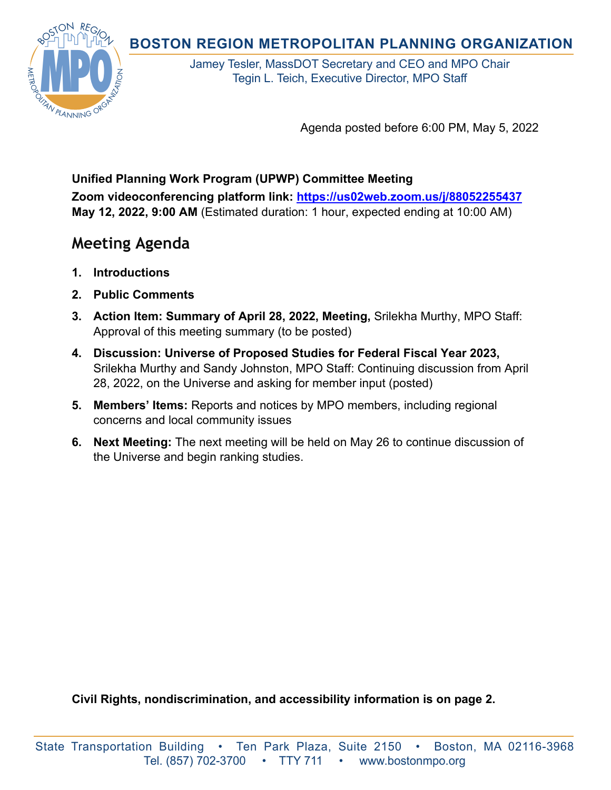## **BOSTON REGION METROPOLITAN PLANNING ORGANIZATION**



Jamey Tesler, MassDOT Secretary and CEO and MPO Chair Tegin L. Teich, Executive Director, MPO Staff

Agenda posted before 6:00 PM, May 5, 2022

## **Unified Planning Work Program (UPWP) Committee Meeting Zoom videoconferencing platform link:<https://us02web.zoom.us/j/88052255437> May 12, 2022, 9:00 AM** (Estimated duration: 1 hour, expected ending at 10:00 AM)

# **Meeting Agenda**

- **1. Introductions**
- **2. Public Comments**
- **3. Action Item: Summary of April 28, 2022, Meeting,** Srilekha Murthy, MPO Staff: Approval of this meeting summary (to be posted)
- **4. Discussion: Universe of Proposed Studies for Federal Fiscal Year 2023,** Srilekha Murthy and Sandy Johnston, MPO Staff: Continuing discussion from April 28, 2022, on the Universe and asking for member input (posted)
- **5. Members' Items:** Reports and notices by MPO members, including regional concerns and local community issues
- **6. Next Meeting:** The next meeting will be held on May 26 to continue discussion of the Universe and begin ranking studies.

**Civil Rights, nondiscrimination, and accessibility information is on page 2.**